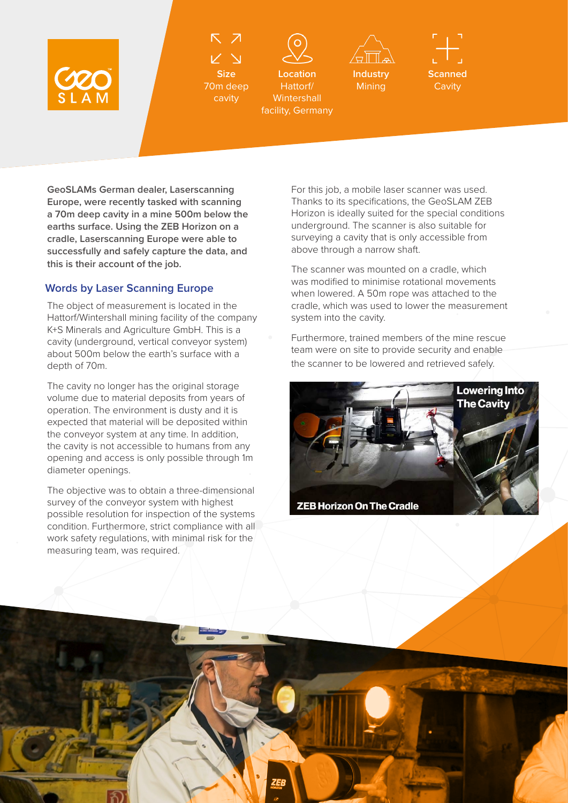

**Size** 70m deep cavity



facility, Germany



**Mining** 



**GeoSLAMs German dealer, Laserscanning Europe, were recently tasked with scanning a 70m deep cavity in a mine 500m below the earths surface. Using the ZEB Horizon on a cradle, Laserscanning Europe were able to successfully and safely capture the data, and this is their account of the job.**

## **Words by Laser Scanning Europe**

The object of measurement is located in the Hattorf/Wintershall mining facility of the company K+S Minerals and Agriculture GmbH. This is a cavity (underground, vertical conveyor system) about 500m below the earth's surface with a depth of 70m.

The cavity no longer has the original storage volume due to material deposits from years of operation. The environment is dusty and it is expected that material will be deposited within the conveyor system at any time. In addition, the cavity is not accessible to humans from any opening and access is only possible through 1m diameter openings.

The objective was to obtain a three-dimensional survey of the conveyor system with highest possible resolution for inspection of the systems condition. Furthermore, strict compliance with all work safety regulations, with minimal risk for the measuring team, was required.

For this job, a mobile laser scanner was used. Thanks to its specifications, the GeoSLAM ZEB Horizon is ideally suited for the special conditions underground. The scanner is also suitable for surveying a cavity that is only accessible from above through a narrow shaft.

The scanner was mounted on a cradle, which was modified to minimise rotational movements when lowered. A 50m rope was attached to the cradle, which was used to lower the measurement system into the cavity.

Furthermore, trained members of the mine rescue team were on site to provide security and enable the scanner to be lowered and retrieved safely.